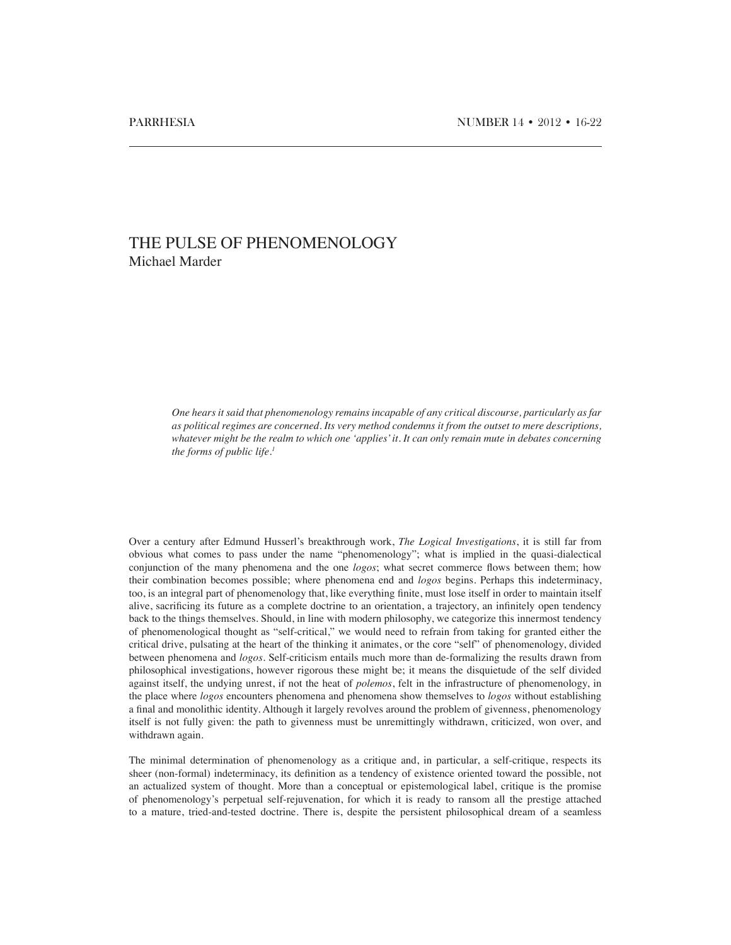## THE PULSE OF PHENOMENOLOGY Michael Marder

*One hears it said that phenomenology remains incapable of any critical discourse, particularly as far as political regimes are concerned. Its very method condemns it from the outset to mere descriptions, whatever might be the realm to which one 'applies' it. It can only remain mute in debates concerning the forms of public life.1*

Over a century after Edmund Husserl's breakthrough work, *The Logical Investigations*, it is still far from obvious what comes to pass under the name "phenomenology"; what is implied in the quasi-dialectical conjunction of the many phenomena and the one *logos*; what secret commerce flows between them; how their combination becomes possible; where phenomena end and *logos* begins. Perhaps this indeterminacy, too, is an integral part of phenomenology that, like everything finite, must lose itself in order to maintain itself alive, sacrificing its future as a complete doctrine to an orientation, a trajectory, an infinitely open tendency back to the things themselves. Should, in line with modern philosophy, we categorize this innermost tendency of phenomenological thought as "self-critical," we would need to refrain from taking for granted either the critical drive, pulsating at the heart of the thinking it animates, or the core "self" of phenomenology, divided between phenomena and *logos*. Self-criticism entails much more than de-formalizing the results drawn from philosophical investigations, however rigorous these might be; it means the disquietude of the self divided against itself, the undying unrest, if not the heat of *polemos*, felt in the infrastructure of phenomenology, in the place where *logos* encounters phenomena and phenomena show themselves to *logos* without establishing a final and monolithic identity. Although it largely revolves around the problem of givenness, phenomenology itself is not fully given: the path to givenness must be unremittingly withdrawn, criticized, won over, and withdrawn again.

The minimal determination of phenomenology as a critique and, in particular, a self-critique, respects its sheer (non-formal) indeterminacy, its definition as a tendency of existence oriented toward the possible, not an actualized system of thought. More than a conceptual or epistemological label, critique is the promise of phenomenology's perpetual self-rejuvenation, for which it is ready to ransom all the prestige attached to a mature, tried-and-tested doctrine. There is, despite the persistent philosophical dream of a seamless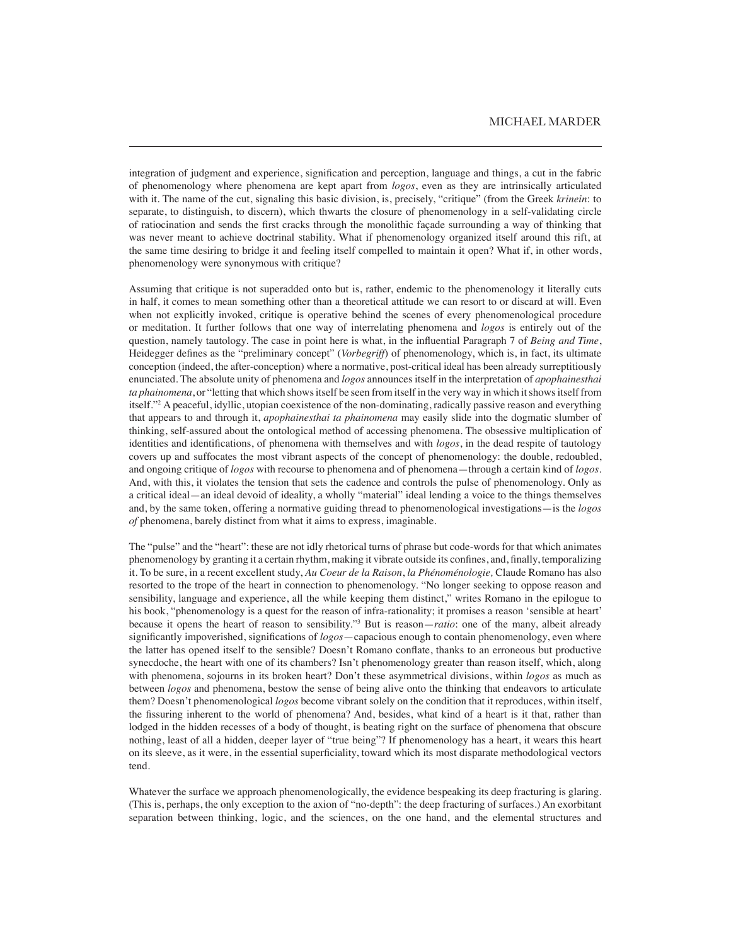integration of judgment and experience, signification and perception, language and things, a cut in the fabric of phenomenology where phenomena are kept apart from *logos*, even as they are intrinsically articulated with it. The name of the cut, signaling this basic division, is, precisely, "critique" (from the Greek *krinein*: to separate, to distinguish, to discern), which thwarts the closure of phenomenology in a self-validating circle of ratiocination and sends the first cracks through the monolithic façade surrounding a way of thinking that was never meant to achieve doctrinal stability. What if phenomenology organized itself around this rift, at the same time desiring to bridge it and feeling itself compelled to maintain it open? What if, in other words, phenomenology were synonymous with critique?

Assuming that critique is not superadded onto but is, rather, endemic to the phenomenology it literally cuts in half, it comes to mean something other than a theoretical attitude we can resort to or discard at will. Even when not explicitly invoked, critique is operative behind the scenes of every phenomenological procedure or meditation. It further follows that one way of interrelating phenomena and *logos* is entirely out of the question, namely tautology. The case in point here is what, in the influential Paragraph 7 of *Being and Time*, Heidegger defines as the "preliminary concept" (*Vorbegriff*) of phenomenology, which is, in fact, its ultimate conception (indeed, the after-conception) where a normative, post-critical ideal has been already surreptitiously enunciated. The absolute unity of phenomena and *logos* announces itself in the interpretation of *apophainesthai ta phainomena*, or "letting that which shows itself be seen from itself in the very way in which it shows itself from itself."2 A peaceful, idyllic, utopian coexistence of the non-dominating, radically passive reason and everything that appears to and through it, *apophainesthai ta phainomena* may easily slide into the dogmatic slumber of thinking, self-assured about the ontological method of accessing phenomena. The obsessive multiplication of identities and identifications, of phenomena with themselves and with *logos*, in the dead respite of tautology covers up and suffocates the most vibrant aspects of the concept of phenomenology: the double, redoubled, and ongoing critique of *logos* with recourse to phenomena and of phenomena—through a certain kind of *logos*. And, with this, it violates the tension that sets the cadence and controls the pulse of phenomenology. Only as a critical ideal—an ideal devoid of ideality, a wholly "material" ideal lending a voice to the things themselves and, by the same token, offering a normative guiding thread to phenomenological investigations—is the *logos of* phenomena, barely distinct from what it aims to express, imaginable.

The "pulse" and the "heart": these are not idly rhetorical turns of phrase but code-words for that which animates phenomenology by granting it a certain rhythm, making it vibrate outside its confines, and, finally, temporalizing it. To be sure, in a recent excellent study, *Au Coeur de la Raison*, *la Phénoménologie,* Claude Romano has also resorted to the trope of the heart in connection to phenomenology. "No longer seeking to oppose reason and sensibility, language and experience, all the while keeping them distinct," writes Romano in the epilogue to his book, "phenomenology is a quest for the reason of infra-rationality; it promises a reason 'sensible at heart' because it opens the heart of reason to sensibility."3 But is reason—*ratio*: one of the many, albeit already significantly impoverished, significations of *logos*—capacious enough to contain phenomenology, even where the latter has opened itself to the sensible? Doesn't Romano conflate, thanks to an erroneous but productive synecdoche, the heart with one of its chambers? Isn't phenomenology greater than reason itself, which, along with phenomena, sojourns in its broken heart? Don't these asymmetrical divisions, within *logos* as much as between *logos* and phenomena, bestow the sense of being alive onto the thinking that endeavors to articulate them? Doesn't phenomenological *logos* become vibrant solely on the condition that it reproduces, within itself, the fissuring inherent to the world of phenomena? And, besides, what kind of a heart is it that, rather than lodged in the hidden recesses of a body of thought, is beating right on the surface of phenomena that obscure nothing, least of all a hidden, deeper layer of "true being"? If phenomenology has a heart, it wears this heart on its sleeve, as it were, in the essential superficiality, toward which its most disparate methodological vectors tend.

Whatever the surface we approach phenomenologically, the evidence bespeaking its deep fracturing is glaring. (This is, perhaps, the only exception to the axion of "no-depth": the deep fracturing of surfaces.) An exorbitant separation between thinking, logic, and the sciences, on the one hand, and the elemental structures and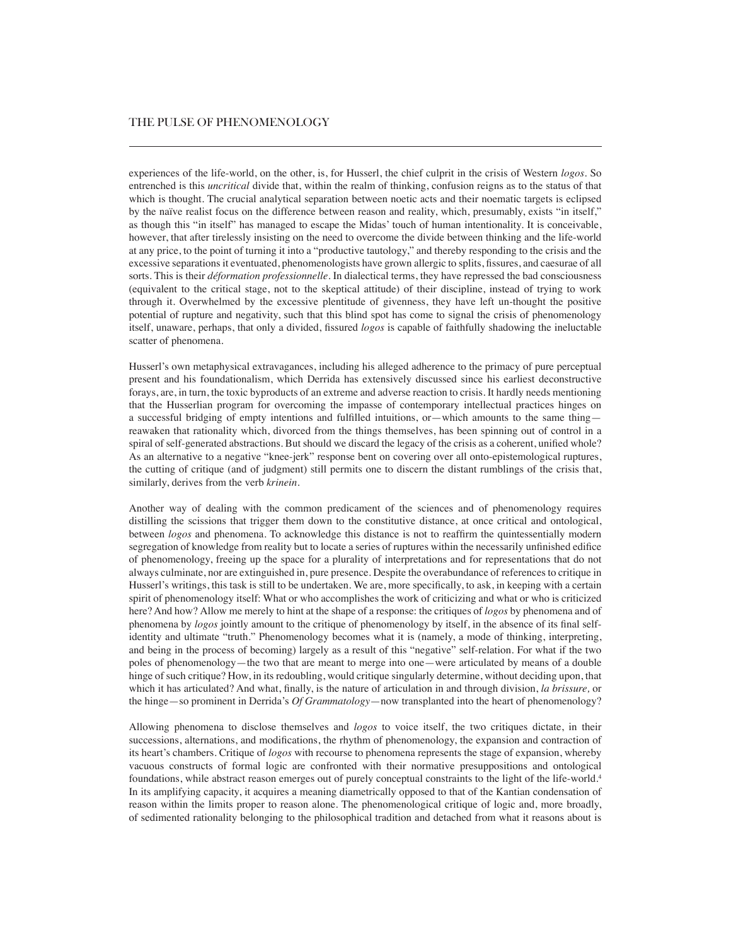experiences of the life-world, on the other, is, for Husserl, the chief culprit in the crisis of Western *logos*. So entrenched is this *uncritical* divide that, within the realm of thinking, confusion reigns as to the status of that which is thought. The crucial analytical separation between noetic acts and their noematic targets is eclipsed by the naïve realist focus on the difference between reason and reality, which, presumably, exists "in itself," as though this "in itself" has managed to escape the Midas' touch of human intentionality. It is conceivable, however, that after tirelessly insisting on the need to overcome the divide between thinking and the life-world at any price, to the point of turning it into a "productive tautology," and thereby responding to the crisis and the excessive separations it eventuated, phenomenologists have grown allergic to splits, fissures, and caesurae of all sorts. This is their *déformation professionnelle.* In dialectical terms, they have repressed the bad consciousness (equivalent to the critical stage, not to the skeptical attitude) of their discipline, instead of trying to work through it. Overwhelmed by the excessive plentitude of givenness, they have left un-thought the positive potential of rupture and negativity, such that this blind spot has come to signal the crisis of phenomenology itself, unaware, perhaps, that only a divided, fissured *logos* is capable of faithfully shadowing the ineluctable scatter of phenomena.

Husserl's own metaphysical extravagances, including his alleged adherence to the primacy of pure perceptual present and his foundationalism, which Derrida has extensively discussed since his earliest deconstructive forays, are, in turn, the toxic byproducts of an extreme and adverse reaction to crisis. It hardly needs mentioning that the Husserlian program for overcoming the impasse of contemporary intellectual practices hinges on a successful bridging of empty intentions and fulfilled intuitions, or—which amounts to the same thing reawaken that rationality which, divorced from the things themselves, has been spinning out of control in a spiral of self-generated abstractions. But should we discard the legacy of the crisis as a coherent, unified whole? As an alternative to a negative "knee-jerk" response bent on covering over all onto-epistemological ruptures, the cutting of critique (and of judgment) still permits one to discern the distant rumblings of the crisis that, similarly, derives from the verb *krinein*.

Another way of dealing with the common predicament of the sciences and of phenomenology requires distilling the scissions that trigger them down to the constitutive distance, at once critical and ontological, between *logos* and phenomena. To acknowledge this distance is not to reaffirm the quintessentially modern segregation of knowledge from reality but to locate a series of ruptures within the necessarily unfinished edifice of phenomenology, freeing up the space for a plurality of interpretations and for representations that do not always culminate, nor are extinguished in, pure presence. Despite the overabundance of references to critique in Husserl's writings, this task is still to be undertaken. We are, more specifically, to ask, in keeping with a certain spirit of phenomenology itself: What or who accomplishes the work of criticizing and what or who is criticized here? And how? Allow me merely to hint at the shape of a response: the critiques of *logos* by phenomena and of phenomena by *logos* jointly amount to the critique of phenomenology by itself, in the absence of its final selfidentity and ultimate "truth." Phenomenology becomes what it is (namely, a mode of thinking, interpreting, and being in the process of becoming) largely as a result of this "negative" self-relation. For what if the two poles of phenomenology—the two that are meant to merge into one—were articulated by means of a double hinge of such critique? How, in its redoubling, would critique singularly determine, without deciding upon, that which it has articulated? And what, finally, is the nature of articulation in and through division, *la brissure,* or the hinge—so prominent in Derrida's *Of Grammatology*—now transplanted into the heart of phenomenology?

Allowing phenomena to disclose themselves and *logos* to voice itself, the two critiques dictate, in their successions, alternations, and modifications, the rhythm of phenomenology, the expansion and contraction of its heart's chambers. Critique of *logos* with recourse to phenomena represents the stage of expansion, whereby vacuous constructs of formal logic are confronted with their normative presuppositions and ontological foundations, while abstract reason emerges out of purely conceptual constraints to the light of the life-world.4 In its amplifying capacity, it acquires a meaning diametrically opposed to that of the Kantian condensation of reason within the limits proper to reason alone. The phenomenological critique of logic and, more broadly, of sedimented rationality belonging to the philosophical tradition and detached from what it reasons about is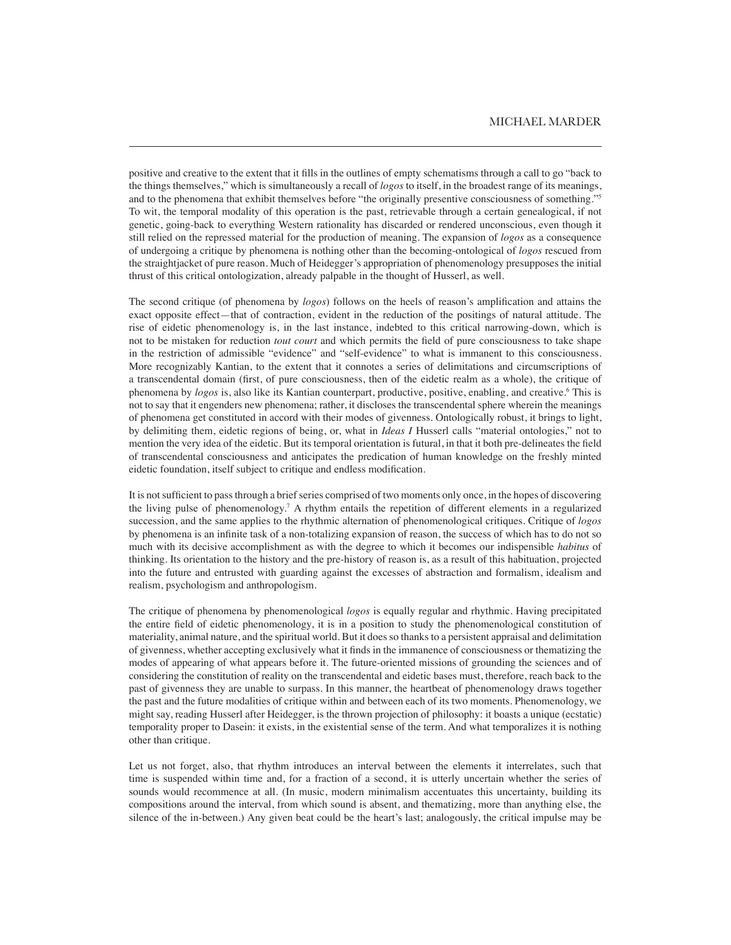positive and creative to the extent that it fills in the outlines of empty schematisms through a call to go "back to the things themselves," which is simultaneously a recall of *logos* to itself, in the broadest range of its meanings, and to the phenomena that exhibit themselves before "the originally presentive consciousness of something."<sup>5</sup> To wit, the temporal modality of this operation is the past, retrievable through a certain genealogical, if not genetic, going-back to everything Western rationality has discarded or rendered unconscious, even though it still relied on the repressed material for the production of meaning. The expansion of *logos* as a consequence of undergoing a critique by phenomena is nothing other than the becoming-ontological of *logos* rescued from the straightjacket of pure reason. Much of Heidegger's appropriation of phenomenology presupposes the initial thrust of this critical ontologization, already palpable in the thought of Husserl, as well.

The second critique (of phenomena by *logos*) follows on the heels of reason's amplification and attains the exact opposite effect—that of contraction, evident in the reduction of the positings of natural attitude. The rise of eidetic phenomenology is, in the last instance, indebted to this critical narrowing-down, which is not to be mistaken for reduction *tout court* and which permits the field of pure consciousness to take shape in the restriction of admissible "evidence" and "self-evidence" to what is immanent to this consciousness. More recognizably Kantian, to the extent that it connotes a series of delimitations and circumscriptions of a transcendental domain (first, of pure consciousness, then of the eidetic realm as a whole), the critique of phenomena by *logos* is, also like its Kantian counterpart, productive, positive, enabling, and creative.6 This is not to say that it engenders new phenomena; rather, it discloses the transcendental sphere wherein the meanings of phenomena get constituted in accord with their modes of givenness. Ontologically robust, it brings to light, by delimiting them, eidetic regions of being, or, what in *Ideas I* Husserl calls "material ontologies," not to mention the very idea of the eidetic. But its temporal orientation is futural, in that it both pre-delineates the field of transcendental consciousness and anticipates the predication of human knowledge on the freshly minted eidetic foundation, itself subject to critique and endless modification.

It is not sufficient to pass through a brief series comprised of two moments only once, in the hopes of discovering the living pulse of phenomenology.<sup>7</sup> A rhythm entails the repetition of different elements in a regularized succession, and the same applies to the rhythmic alternation of phenomenological critiques. Critique of *logos* by phenomena is an infinite task of a non-totalizing expansion of reason, the success of which has to do not so much with its decisive accomplishment as with the degree to which it becomes our indispensible *habitus* of thinking. Its orientation to the history and the pre-history of reason is, as a result of this habituation, projected into the future and entrusted with guarding against the excesses of abstraction and formalism, idealism and realism, psychologism and anthropologism.

The critique of phenomena by phenomenological *logos* is equally regular and rhythmic. Having precipitated the entire field of eidetic phenomenology, it is in a position to study the phenomenological constitution of materiality, animal nature, and the spiritual world. But it does so thanks to a persistent appraisal and delimitation of givenness, whether accepting exclusively what it finds in the immanence of consciousness or thematizing the modes of appearing of what appears before it. The future-oriented missions of grounding the sciences and of considering the constitution of reality on the transcendental and eidetic bases must, therefore, reach back to the past of givenness they are unable to surpass. In this manner, the heartbeat of phenomenology draws together the past and the future modalities of critique within and between each of its two moments. Phenomenology, we might say, reading Husserl after Heidegger, is the thrown projection of philosophy: it boasts a unique (ecstatic) temporality proper to Dasein: it exists, in the existential sense of the term. And what temporalizes it is nothing other than critique.

Let us not forget, also, that rhythm introduces an interval between the elements it interrelates, such that time is suspended within time and, for a fraction of a second, it is utterly uncertain whether the series of sounds would recommence at all. (In music, modern minimalism accentuates this uncertainty, building its compositions around the interval, from which sound is absent, and thematizing, more than anything else, the silence of the in-between.) Any given beat could be the heart's last; analogously, the critical impulse may be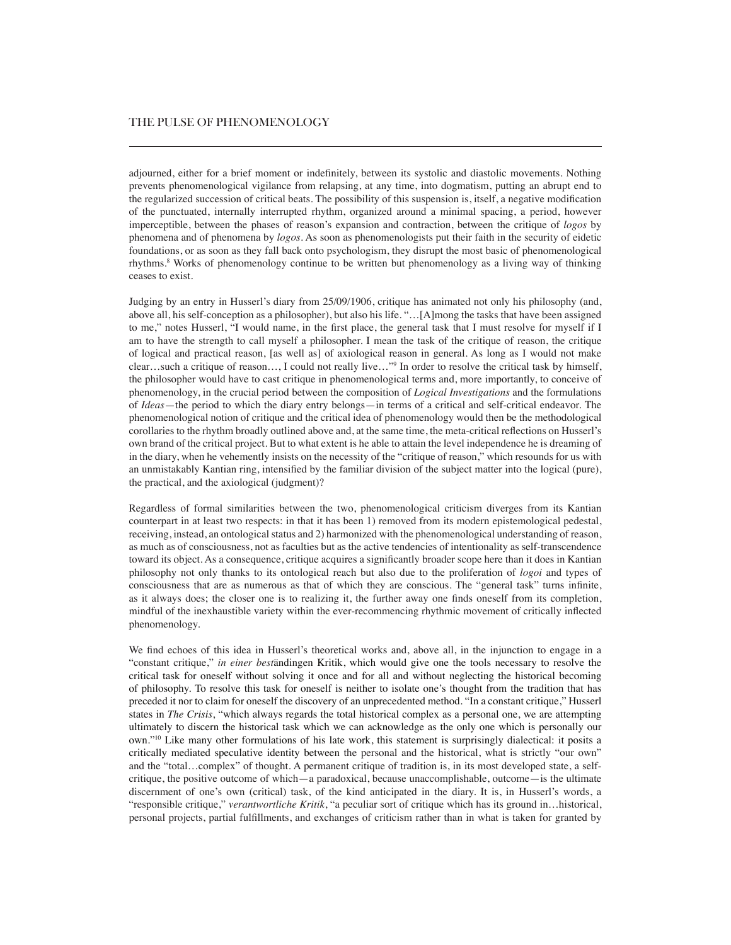adjourned, either for a brief moment or indefinitely, between its systolic and diastolic movements. Nothing prevents phenomenological vigilance from relapsing, at any time, into dogmatism, putting an abrupt end to the regularized succession of critical beats. The possibility of this suspension is, itself, a negative modification of the punctuated, internally interrupted rhythm, organized around a minimal spacing, a period, however imperceptible, between the phases of reason's expansion and contraction, between the critique of *logos* by phenomena and of phenomena by *logos*. As soon as phenomenologists put their faith in the security of eidetic foundations, or as soon as they fall back onto psychologism, they disrupt the most basic of phenomenological rhythms.<sup>8</sup> Works of phenomenology continue to be written but phenomenology as a living way of thinking ceases to exist.

Judging by an entry in Husserl's diary from 25/09/1906, critique has animated not only his philosophy (and, above all, his self-conception as a philosopher), but also his life. "…[A]mong the tasks that have been assigned to me," notes Husserl, "I would name, in the first place, the general task that I must resolve for myself if I am to have the strength to call myself a philosopher. I mean the task of the critique of reason, the critique of logical and practical reason, [as well as] of axiological reason in general. As long as I would not make clear…such a critique of reason…, I could not really live…"9 In order to resolve the critical task by himself, the philosopher would have to cast critique in phenomenological terms and, more importantly, to conceive of phenomenology, in the crucial period between the composition of *Logical Investigations* and the formulations of *Ideas*—the period to which the diary entry belongs—in terms of a critical and self-critical endeavor. The phenomenological notion of critique and the critical idea of phenomenology would then be the methodological corollaries to the rhythm broadly outlined above and, at the same time, the meta-critical reflections on Husserl's own brand of the critical project. But to what extent is he able to attain the level independence he is dreaming of in the diary, when he vehemently insists on the necessity of the "critique of reason," which resounds for us with an unmistakably Kantian ring, intensified by the familiar division of the subject matter into the logical (pure), the practical, and the axiological (judgment)?

Regardless of formal similarities between the two, phenomenological criticism diverges from its Kantian counterpart in at least two respects: in that it has been 1) removed from its modern epistemological pedestal, receiving, instead, an ontological status and 2) harmonized with the phenomenological understanding of reason, as much as of consciousness, not as faculties but as the active tendencies of intentionality as self-transcendence toward its object. As a consequence, critique acquires a significantly broader scope here than it does in Kantian philosophy not only thanks to its ontological reach but also due to the proliferation of *logoi* and types of consciousness that are as numerous as that of which they are conscious. The "general task" turns infinite, as it always does; the closer one is to realizing it, the further away one finds oneself from its completion, mindful of the inexhaustible variety within the ever-recommencing rhythmic movement of critically inflected phenomenology.

We find echoes of this idea in Husserl's theoretical works and, above all, in the injunction to engage in a "constant critique," *in einer best*ändingen Kritik, which would give one the tools necessary to resolve the critical task for oneself without solving it once and for all and without neglecting the historical becoming of philosophy. To resolve this task for oneself is neither to isolate one's thought from the tradition that has preceded it nor to claim for oneself the discovery of an unprecedented method. "In a constant critique," Husserl states in *The Crisis*, "which always regards the total historical complex as a personal one, we are attempting ultimately to discern the historical task which we can acknowledge as the only one which is personally our own."10 Like many other formulations of his late work, this statement is surprisingly dialectical: it posits a critically mediated speculative identity between the personal and the historical, what is strictly "our own" and the "total…complex" of thought. A permanent critique of tradition is, in its most developed state, a selfcritique, the positive outcome of which—a paradoxical, because unaccomplishable, outcome—is the ultimate discernment of one's own (critical) task, of the kind anticipated in the diary. It is, in Husserl's words, a "responsible critique," *verantwortliche Kritik*, "a peculiar sort of critique which has its ground in…historical, personal projects, partial fulfillments, and exchanges of criticism rather than in what is taken for granted by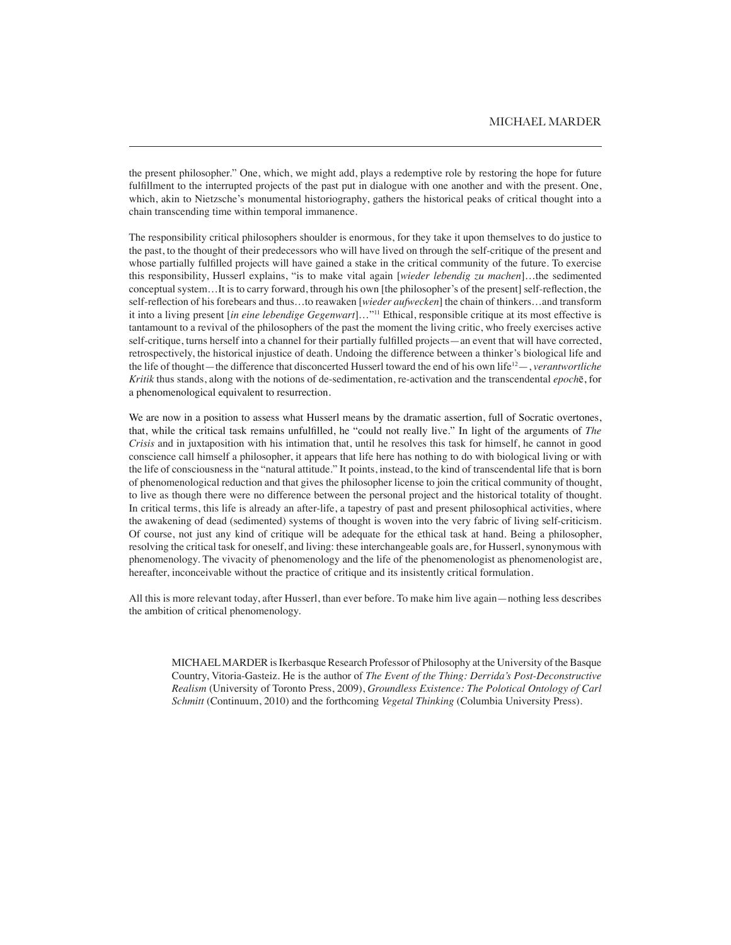the present philosopher." One, which, we might add, plays a redemptive role by restoring the hope for future fulfillment to the interrupted projects of the past put in dialogue with one another and with the present. One, which, akin to Nietzsche's monumental historiography, gathers the historical peaks of critical thought into a chain transcending time within temporal immanence.

The responsibility critical philosophers shoulder is enormous, for they take it upon themselves to do justice to the past, to the thought of their predecessors who will have lived on through the self-critique of the present and whose partially fulfilled projects will have gained a stake in the critical community of the future. To exercise this responsibility, Husserl explains, "is to make vital again [*wieder lebendig zu machen*]…the sedimented conceptual system…It is to carry forward, through his own [the philosopher's of the present] self-reflection, the self-reflection of his forebears and thus…to reawaken [*wieder aufwecken*] the chain of thinkers…and transform it into a living present [*in eine lebendige Gegenwart*]…"11 Ethical, responsible critique at its most effective is tantamount to a revival of the philosophers of the past the moment the living critic, who freely exercises active self-critique, turns herself into a channel for their partially fulfilled projects—an event that will have corrected, retrospectively, the historical injustice of death. Undoing the difference between a thinker's biological life and the life of thought—the difference that disconcerted Husserl toward the end of his own life12—, *verantwortliche Kritik* thus stands, along with the notions of de-sedimentation, re-activation and the transcendental *epoch*ē, for a phenomenological equivalent to resurrection.

We are now in a position to assess what Husserl means by the dramatic assertion, full of Socratic overtones, that, while the critical task remains unfulfilled, he "could not really live." In light of the arguments of *The Crisis* and in juxtaposition with his intimation that, until he resolves this task for himself, he cannot in good conscience call himself a philosopher, it appears that life here has nothing to do with biological living or with the life of consciousness in the "natural attitude." It points, instead, to the kind of transcendental life that is born of phenomenological reduction and that gives the philosopher license to join the critical community of thought, to live as though there were no difference between the personal project and the historical totality of thought. In critical terms, this life is already an after-life, a tapestry of past and present philosophical activities, where the awakening of dead (sedimented) systems of thought is woven into the very fabric of living self-criticism. Of course, not just any kind of critique will be adequate for the ethical task at hand. Being a philosopher, resolving the critical task for oneself, and living: these interchangeable goals are, for Husserl, synonymous with phenomenology. The vivacity of phenomenology and the life of the phenomenologist as phenomenologist are, hereafter, inconceivable without the practice of critique and its insistently critical formulation.

All this is more relevant today, after Husserl, than ever before. To make him live again—nothing less describes the ambition of critical phenomenology.

MICHAEL MARDER is Ikerbasque Research Professor of Philosophy at the University of the Basque Country, Vitoria-Gasteiz. He is the author of *The Event of the Thing: Derrida's Post-Deconstructive Realism* (University of Toronto Press, 2009), *Groundless Existence: The Polotical Ontology of Carl Schmitt* (Continuum, 2010) and the forthcoming *Vegetal Thinking* (Columbia University Press).